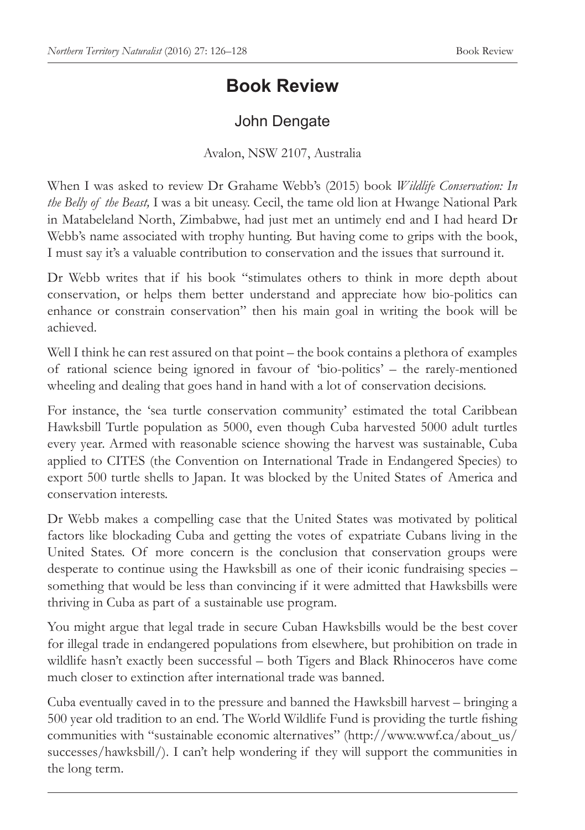## **Book Review**

## John Dengate

Avalon, NSW 2107, Australia

When I was asked to review Dr Grahame Webb's (2015) book *Wildlife Conservation: In the Belly of the Beast,* I was a bit uneasy. Cecil, the tame old lion at Hwange National Park in Matabeleland North, Zimbabwe, had just met an untimely end and I had heard Dr Webb's name associated with trophy hunting. But having come to grips with the book, I must say it's a valuable contribution to conservation and the issues that surround it.

Dr Webb writes that if his book "stimulates others to think in more depth about conservation, or helps them better understand and appreciate how bio-politics can enhance or constrain conservation" then his main goal in writing the book will be achieved.

Well I think he can rest assured on that point – the book contains a plethora of examples of rational science being ignored in favour of 'bio-politics' – the rarely-mentioned wheeling and dealing that goes hand in hand with a lot of conservation decisions.

For instance, the 'sea turtle conservation community' estimated the total Caribbean Hawksbill Turtle population as 5000, even though Cuba harvested 5000 adult turtles every year. Armed with reasonable science showing the harvest was sustainable, Cuba applied to CITES (the Convention on International Trade in Endangered Species) to export 500 turtle shells to Japan. It was blocked by the United States of America and conservation interests.

Dr Webb makes a compelling case that the United States was motivated by political factors like blockading Cuba and getting the votes of expatriate Cubans living in the United States. Of more concern is the conclusion that conservation groups were desperate to continue using the Hawksbill as one of their iconic fundraising species – something that would be less than convincing if it were admitted that Hawksbills were thriving in Cuba as part of a sustainable use program.

You might argue that legal trade in secure Cuban Hawksbills would be the best cover for illegal trade in endangered populations from elsewhere, but prohibition on trade in wildlife hasn't exactly been successful – both Tigers and Black Rhinoceros have come much closer to extinction after international trade was banned.

Cuba eventually caved in to the pressure and banned the Hawksbill harvest – bringing a 500 year old tradition to an end. The World Wildlife Fund is providing the turtle fishing communities with "sustainable economic alternatives" (http://www.wwf.ca/about\_us/ successes/hawksbill/). I can't help wondering if they will support the communities in the long term.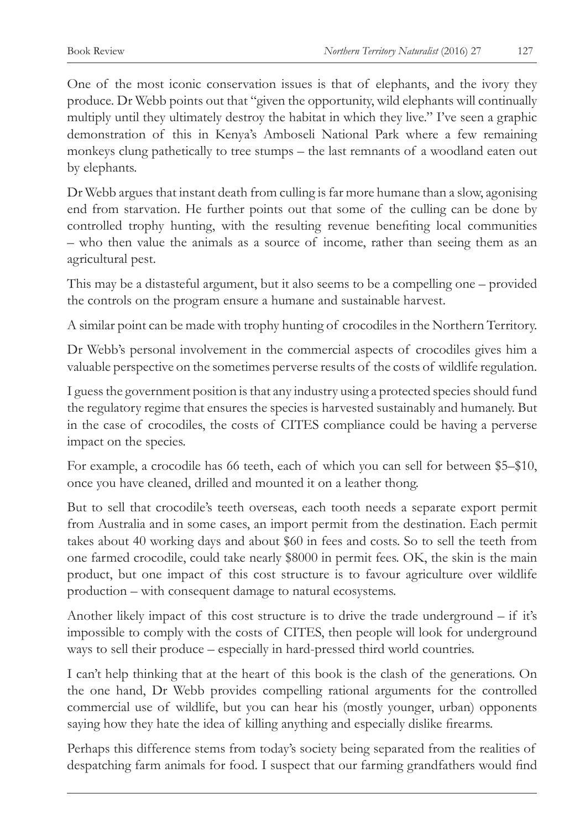One of the most iconic conservation issues is that of elephants, and the ivory they produce. Dr Webb points out that "given the opportunity, wild elephants will continually multiply until they ultimately destroy the habitat in which they live." I've seen a graphic demonstration of this in Kenya's Amboseli National Park where a few remaining monkeys clung pathetically to tree stumps – the last remnants of a woodland eaten out by elephants.

Dr Webb argues that instant death from culling is far more humane than a slow, agonising end from starvation. He further points out that some of the culling can be done by controlled trophy hunting, with the resulting revenue benefiting local communities – who then value the animals as a source of income, rather than seeing them as an agricultural pest.

This may be a distasteful argument, but it also seems to be a compelling one – provided the controls on the program ensure a humane and sustainable harvest.

A similar point can be made with trophy hunting of crocodiles in the Northern Territory.

Dr Webb's personal involvement in the commercial aspects of crocodiles gives him a valuable perspective on the sometimes perverse results of the costs of wildlife regulation.

I guess the government position is that any industry using a protected species should fund the regulatory regime that ensures the species is harvested sustainably and humanely. But in the case of crocodiles, the costs of CITES compliance could be having a perverse impact on the species.

For example, a crocodile has 66 teeth, each of which you can sell for between \$5–\$10, once you have cleaned, drilled and mounted it on a leather thong.

But to sell that crocodile's teeth overseas, each tooth needs a separate export permit from Australia and in some cases, an import permit from the destination. Each permit takes about 40 working days and about \$60 in fees and costs. So to sell the teeth from one farmed crocodile, could take nearly \$8000 in permit fees. OK, the skin is the main product, but one impact of this cost structure is to favour agriculture over wildlife production – with consequent damage to natural ecosystems.

Another likely impact of this cost structure is to drive the trade underground  $-$  if it's impossible to comply with the costs of CITES, then people will look for underground ways to sell their produce – especially in hard-pressed third world countries.

I can't help thinking that at the heart of this book is the clash of the generations. On the one hand, Dr Webb provides compelling rational arguments for the controlled commercial use of wildlife, but you can hear his (mostly younger, urban) opponents saying how they hate the idea of killing anything and especially dislike firearms.

Perhaps this difference stems from today's society being separated from the realities of despatching farm animals for food. I suspect that our farming grandfathers would find